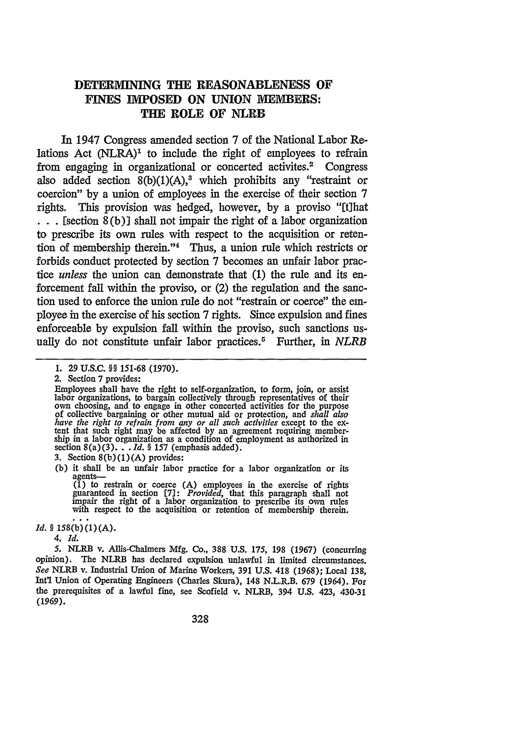## **DETERMINING TIE REASONABLENESS OF** FINES IMPOSED ON UNION MEMBERS: **THE ROLE OF NLRB**

In 1947 Congress amended section 7 of the National Labor Relations Act  $(NLRA)^1$  to include the right of employees to refrain from engaging in organizational or concerted activites.<sup>2</sup> Congress also added section  $8(b)(1)(A)$ ,<sup>3</sup> which prohibits any "restraint or coercion" by a union of employees in the exercise of their section 7 rights. This provision was hedged, however, by a proviso "[t]hat **. ..**[section 8(b)] shall not impair the right of a labor organization to prescribe its own rules with respect to the acquisition or retention of membership therein."4 Thus, a union rule which restricts or forbids conduct protected by section 7 becomes an unfair labor prac*tice unless* the union can demonstrate that (1) the rule and its enforcement fall within the proviso, or (2) the regulation and the sanction used to enforce the union rule do not "restrain or coerce" the employee in the exercise of his section 7 rights. Since expulsion and fines enforceable by expulsion fall within the proviso, such sanctions usually do not constitute unfair labor practices.5 Further, in *NLRB*

3. Section 8(b) (1) **(A)** provides:

**(b)** it shall be an unfair labor practice for a labor organization or its agents-

(1) to restrain or coerce (A) employees in the exercise of rights guaranteed in section  $[7]$ : *Provided*, that this paragraph shall not impair the right of a labor organization to prescribe its own rules with respect to

*Id. §* **158 (b)(1)(A).**

*4. Id.*

*5.* NLRB v. Allis-Chalmers Mfg. Co., **388** U.S. 175, **198** (1967) (concurring opinion). The NLRB has declared expulsion unlawful in limited circumstances. *See* NLRB v. Industrial Union of Marine Workers, 391 **U.S.** 418 **(1968);** Local 138, Int'l Union of Operating Engineers (Charles Skura), 148 N.L.R.B. 679 (1964). For the prerequisites of a lawful fine, see Scofield v. NLRB, 394 U.S. 423, 430-31 (1969).

<sup>1.</sup> **29** U.S.C. **§§ 151-68 (1970).**

<sup>2.</sup> Section 7 provides:

Employees shall have the right to self-organization, to form, join, or assist labor organizations, to bargain collectively through representatives of their own choosing, and to engage in other concerted activities for the purpose *have the right to refrain from any or all such activities* except to the ex-<br>tent that such right may be affected by an agreement requiring membership in a labor organization as a condition of employment as authorized in section 8(a)(3)... *Id. §* 157 (emphasis added).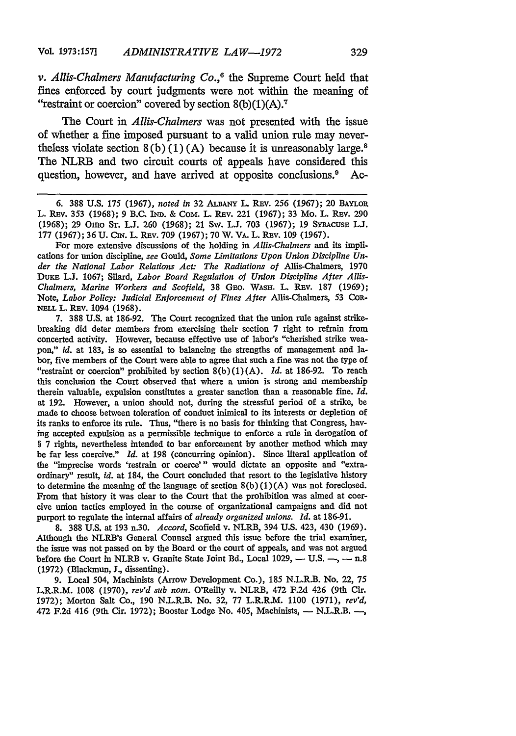*v. Allis-Chalmers Manufacturing Co.,"* the Supreme Court held that fines enforced by court judgments were not within the meaning of "restraint or coercion" covered by section  $8(b)(1)(A)$ .

The Court in *Allis-Chalmers* was not presented with the issue of whether a fine imposed pursuant to a valid union rule may nevertheless violate section  $8(b)(1)(A)$  because it is unreasonably large.<sup>8</sup> The NLRB and two circuit courts of appeals have considered this question, however, and have arrived at opposite conclusions.' Ac-

**6.** 388 U.S. 175 (1967), *noted in* 32 **ALBANY** L. REv. 256 (1967); 20 BAYLoR L. REv. 353 (1968); 9 B.C. IND. & CoM. L. REv. 221 (1967); 33 Mo. L. REv. 290 (1968); 29 Omo **ST. L.J.** 260 (1968); 21 Sw. **L.J.** 703 (1967); **19 SYRACUSE ULJ.** 177 (1967); 36 U. Cn . L. REv. 709 (1967); 70 W. VA. L. REv. **109** (1967).

For more extensive discussions of the holding in *Allis-Chalmers* and its implications for union discipline, *see* Gould, *Some Limitations Upon Union Discipline Under the National Labor Relations Act: The Radiations of* Allis-Chalmers, 1970 **DUE L.J.** 1067; Silard, *Labor Board Regulation of Union Discipline After Allis-Chalmers, Marine Workers and Scofield,* 38 GEo. **WASH. L.** REv. 187 (1969); Note, *Labor Policy: Judicial Enforcement of Fines After* Allis-Chalmers, 53 CoR-**NELL** L. REV. 1094 (1968).

7. 388 U.S. at 186-92. The Court recognized that the union rule against strikebreaking did deter members from exercising their section 7 right to refrain from concerted activity. However, because effective use of labor's "cherished strike weapon," *id.* at 183, is so essential to balancing the strengths of management and labor, five members of the Court were able to agree that such a fine was not the type of "restraint or coercion" prohibited by section 8(b) (1) (A). *Id.* at 186-92. To reach this conclusion the Court observed that where a union is strong and membership therein valuable, expulsion constitutes a greater sanction than a reasonable fine. *Id.* at 192. However, a union should not, during the stressful period of a strike, be made to choose between toleration of conduct inimical to its interests or depletion of its ranks to enforce its rule. Thus, "there is no basis for thinking that Congress, having accepted expulsion as a permissible technique to enforce a rule in derogation of § 7 rights, nevertheless intended to bar enforcement by another method which may be far less coercive." *Id.* at **198** (concurring opinion). Since literal application of the "imprecise words 'restrain or coerce'" would dictate an opposite and "extraordinary" result, *id.* at 184, the Court concluded that resort to the legislative history to determine the meaning of the language of section  $8(b)(1)(A)$  was not foreclosed. From that history it was clear to the Court that the prohibition was aimed at coercive union tactics employed in the course of organizational campaigns and did not purport to regulate the internal affairs of *already organized unions. Id.* at 186-91.

8. 388 U.S. at 193 n.30. *Accord,* Scofield v. NLRB, 394 U.S. 423, 430 (1969). Although the NLRB's General Counsel argued this issue before the trial examiner, the issue was not passed on by the Board or the court of appeals, and was not argued before the Court in NLRB v. Granite State Joint Bd., Local 1029,  $-$  U.S.  $-$ ,  $-$  n.8 (1972) (Blackmun, **J.,** dissenting).

9. Local 504, Machinists (Arrow Development Co.), 185 N.L.R.B. No. 22, 75 L.R.R.M. 1008 (1970), *rev'd sub nom.* O'Reilly v. NLRB, 472 F.2d 426 (9th Cir. 1972); Morton Salt Co., **190** N.L.R.B. No. 32, 77 L.R.R.M. 1100 (1971), *rev'd,* 472 F.2d 416 (9th Cir. 1972); Booster Lodge No. 405, Machinists, - N.L.R.B. -,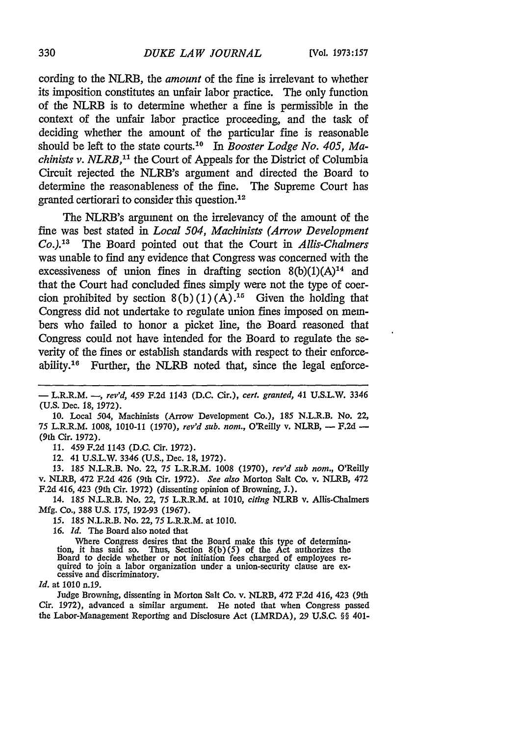cording to the NLRB, the *amount* of the fine is irrelevant to whether its imposition constitutes an unfair labor practice. The only function of the NLRB is to determine whether a fine is permissible in the context of the unfair labor practice proceeding, and the task of deciding whether the amount of the particular fine is reasonable should be left to the state courts. 10 In *Booster Lodge No. 405, Machinists v. NLRB*,<sup>11</sup> the Court of Appeals for the District of Columbia Circuit rejected the NLRB's argument and directed the Board to determine the reasonableness of the fine. The Supreme Court has granted certiorari to consider this question.<sup>12</sup>

The NLRB's argument on the irrelevancy of the amount of the fine was best stated in *Local 504, Machinists (Arrow Development*  $Co.$ <sup>13</sup> *'* The Board pointed out that the Court in *Allis-Chalmers* was unable to find any evidence that Congress was concerned with the excessiveness of union fines in drafting section  $8(b)(1)(A)^{14}$  and that the Court had concluded fines simply were not the type of coercion prohibited by section  $8(b)(1)(A)$ .<sup>15</sup> Given the holding that Congress did not undertake to regulate union fines imposed on members who failed to honor a picket line, the Board reasoned that Congress could not have intended for the Board to regulate the severity of the fines or establish standards with respect to their enforceability. 16 Further, the NLRB noted that, since the legal enforce-

*11.* 459 F.2d 1143 (D.C. Cir. 1972).

12. 41 U.S.L.W. 3346 (U.S., Dec. 18, 1972).

13. 185 N.L.R.B. No. 22, 75 L.R.R.M. 1008 (1970), *rev'd sub nom.,* O'Reilly v. NLRB, 472 F.2d 426 (9th Cir. 1972). *See also* Morton Salt Co. v. NLRB, 472 F.2d 416, 423 (9th Cir. 1972) (dissenting opinion of Browning, J.).

14. **185** N.L.R.B. No. 22, 75 L.R.R.M. at 1010, *citing* NLRB v. Allis-Chalmers Mfg. Co., 388 U.S. 175, 192-93 (1967).

**15.** 185 N.L.R.B. No. 22, 75 L.R.R.M. at 1010.

**16.** *Id.* The Board also noted that

Where Congress desires that the Board make this type of determination, it has said so. Thus, Section 8(b)(5) of the Act authorizes the Board to decide whether or not initiation fees charged of employees re- quired to join a labor organization under a union-security clause are ex- cessive and discriminatory.

*Id.* at 1010 n.19.

Judge Browning, dissenting in Morton Salt Co. v. NLRB, 472 F.2d 416, 423 (9th Cir. 1972), advanced a similar argument. He noted that when Congress passed the Labor-Management Reporting and Disclosure Act (LMRDA), **29** U.S.C. §§ 401-

<sup>-</sup> L.R.R.M. -, *rev'd, 459* F.2d 1143 (D.C. Cir.), *cert. granted,* 41 U.S.L.W. 3346 (U.S. Dec. 18, 1972).

<sup>10.</sup> Local 504, Machinists (Arrow Development Co.), 185 N.L.R.B. No. 22, 75 L.R.R.M. 1008, 1010-11 (1970), rev'd sub. nom., O'Reilly v. NLRB, - F.2d -(9th Cir. 1972).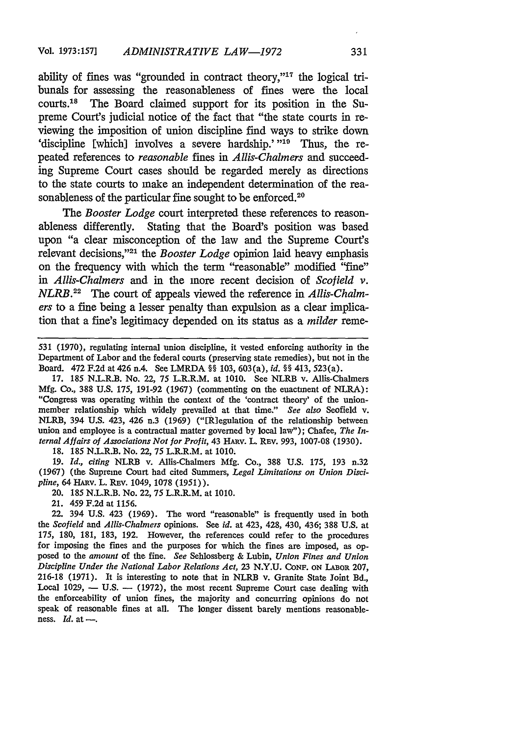ability of fines was "grounded in contract theory,"17 the logical tribunals for assessing the reasonableness of fines were the local courts. 18 The Board claimed support for its position in the Supreme Court's judicial notice of the fact that "the state courts in reviewing the imposition of union discipline find ways to strike down 'discipline [which] involves a severe hardship.' **"19** Thus, the repeated references to *reasonable* fines in *Allis-Chalmers* and succeeding Supreme Court cases should be regarded merely as directions to the state courts to make an independent determination of the reasonableness of the particular fine sought to be enforced.<sup>20</sup>

*The Booster Lodge* court interpreted these references to reasonableness differently. Stating that the Board's position was based upon "a clear misconception of the law and the Supreme Court's relevant decisions,"<sup>21</sup> the *Booster Lodge* opinion laid heavy emphasis on the frequency with which the term "reasonable' modified "fine' *in Allis-Chalmers* and in the more recent decision of *Scofield v. NLRB. 21* The court of appeals viewed the reference in *Allis-ChaImers* to a fine being a lesser penalty than expulsion as a clear implication that a fine's legitimacy depended on its status as a *milder* reme-

17. 185 N.L.R.B. No. 22, 75 L.R.R.M. at 1010. See NLRB v. Allis-Chalmers Mfg. Co., 388 U.S. 175, 191-92 (1967) (commenting on the enactment of NLRA): "Congress was operating within the context of the 'contract theory' of the unionmember relationship which widely prevailed at that time." *See also* Scofield v. NLRB, 394 U.S. 423, 426 n.3 (1969) ("ERlegulation of the relationship between union and employee is a contractual matter governed by local law"); Chafee, *The Internal Affairs of Associations Not for Profit, 43 HARV. L. REV. 993, 1007-08 (1930).* 

18. 185 N.L.R.B. No. 22, 75 L.R.R.M. at 1010.

19. *Id., citing* NLRB v. Allis-Chalmers Mfg. Co., 388 U.S. 175, 193 n.32 (1967) (the Supreme Court had cited Summers, *Legal Limitations on Union Discipline,* 64 HAnv. L. REv. 1049, 1078 (1951)).

20. 185 N.L.R.B. No. 22, 75 L.R.R.M. at 1010.

21. 459 F.2d at 1156.

22. 394 U.S. 423 (1969). The word "reasonable" is frequently used in both *the Scofield and Allis-Chalmers* opinions. See *id.* at 423, 428, 430, 436; 388 U.S. at 175, 180, 181, 183, 192. However, the references could refer to the procedures for imposing the fines and the purposes for which the fines are imposed, as opposed to the *amount* of the fine. *See* Sehlossberg & Lubin, *Union Fines and Union Discipline Under the National Labor Relations Act,* 23 N.Y.U. **CONF. oN** LABOR 207, 216-18 (1971). It is interesting to note that in NLRB v. Granite State Joint Bd., Local 1029, - U.S. - (1972), the most recent Supreme Court case dealing with the enforceability of union fines, the majority and concurring opinions do not speak of reasonable fines at all. The longer dissent barely mentions reasonableness.  $Id.$  at  $-$ .

<sup>531 (1970),</sup> regulating internal union discipline, it vested enforcing authority in the Department of Labor and the federal courts (preserving state remedies), but not in the Board. 472 F.2d at 426 n.4. See LMRDA §§ 103, 603(a), *id. §§* 413, 523(a).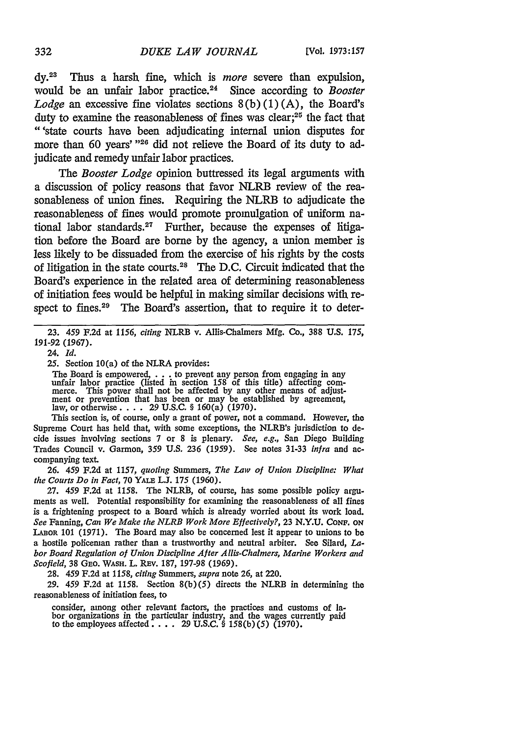**dy.23** Thus a harsh fine, which is *more* severe than expulsion, would be an unfair labor practice.<sup>24</sup> Since according to *Booster Lodge* an excessive fine violates sections 8(b) (1) (A), the Board's duty to examine the reasonableness of fines was clear; $25$  the fact that "'state courts have been adjudicating internal union disputes for more than 60 years' **"26** did not relieve the Board of its duty to adjudicate and remedy unfair labor practices.

*The Booster Lodge* opinion buttressed its legal arguments with a discussion of policy reasons that favor NLRB review of the reasonableness of union fines. Requiring the NLRB to adjudicate the reasonableness of fines would promote promulgation of uniform national labor standards.<sup>27</sup> Further, because the expenses of litigation before the Board are borne by the agency, a union member is less likely to be dissuaded from the exercise of his rights by the costs of litigation in the state courts.28 The D.C. Circuit indicated that the Board's experience in the related area of determining reasonableness of initiation fees would be helpful in making similar decisions with respect to fines.<sup>29</sup> The Board's assertion, that to require it to deter-

23. 459 F.2d at 1156, *citing* NLRB v. Allis-Chalmers Mfg. Co., 388 U.S. 175, 191-92 (1967).

24. *Id.*

**25.** Section 10(a) of the NLRA provides:

The Board is empowered, . ..to prevent any person from engaging in any unfair labor practice (listed in section 158 of this title) affecting com-<br>merce. This power shall not be affected by any other means of adjust-<br>ment or prevention that has been or may be established by agreement, law, or otherwise. . **.** . 29 U.S.C. § 160(a) (1970).

This section is, of course, only a grant of power, not a command. However, the Supreme Court has held that, with some exceptions, the NLRB's jurisdiction to decide issues involving sections 7 or 8 is plenary. *See, e.g.,* San Diego Building Trades Council v. Garmon, 359 U.S. 236 (1959). See notes 31-33 *infra* and accompanying text.

**26.** 459 F.2d at 1157, *quoting* Summers, *The Law of Union Discipline: What the Courts Do in Fact,* 70 YALE **L.J.** 175 (1960).

**27.** 459 F.2d at 1158. The NLRB, of course, has some possible policy arguments as well. Potential responsibility for examining the reasonableness of all fines is a frightening prospect to a Board which is already worried about its work load. *See* Fanning, *Can We Make the NLRB Work More Effectively?,* **23** N.Y.U. CONF. **ON LABOR** 101 (1971). The Board may also be concerned lest it appear to unions to be a hostile policeman rather than a trustworthy and neutral arbiter. See Silard, *Labor Board Regulation of Union Discipline After Allis-Chalmers, Marine Workers and* Scofield, 38 GEO. WASH. L. REV. 187, 197-98 (1969).

28. 459 F.2d at 1158, *citing Summers, supra* note 26, at 220.

**29.** 459 F.2d at 1158. Section 8(b)(5) directs the NLRB in determining the reasonableness of initiation fees, to

consider, among other relevant factors, the practices and customs of labor organizations in the particular industry, and the wages currently paid to the employees affected. . **.. 29** U.S.C. § 158(b)(5) (1970).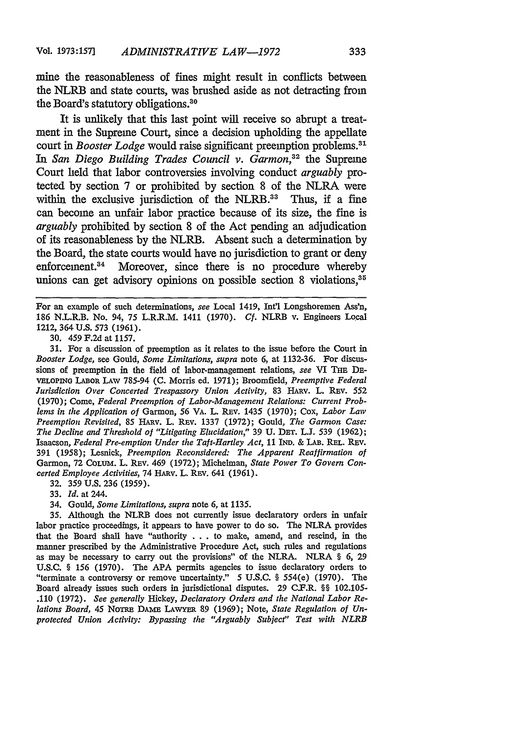mine the reasonableness of fines might result in conflicts between the NLRB and state courts, was brushed aside as not detracting from the Board's statutory obligations.<sup>30</sup>

It is unlikely that this last point will receive so abrupt a treatment in the Supreme Court, since a decision upholding the appellate court in *Booster Lodge* would raise significant preemption problems.<sup>31</sup> *In San Diego Building Trades Council v. Garmon,32* the Supreme Court held that labor controversies involving conduct *arguably* protected by section 7 or prohibited by section 8 of the NLRA were within the exclusive jurisdiction of the NLRB.<sup>33</sup> Thus, if a fine can become an unfair labor practice because of its size, the fine is *arguably* prohibited by section 8 of the Act pending an adjudication of its reasonableness by the NLRB. Absent such a determination by the Board, the state courts would have no jurisdiction to grant or deny enforcement.<sup>34</sup> Moreover, since there is no procedure whereby unions can get advisory opinions on possible section 8 violations,<sup>35</sup>

For an example of such determinations, *see* Local 1419, Int'l Longshoremen Ass'n, 186 N.L.R.B. No. 94, 75 L.R.R.M. 1411 (1970). Cf. NLRB v. Engineers Local 1212, 364 U.S. 573 (1961).

30. 459 F.2d at 1157.

31. For a discussion of preemption as it relates to the issue before the Court in *Booster Lodge,* see Gould, *Some Limitations, supra* note 6, at 1132-36. For discussions of preemption in the field of labor-management relations, *see* VI THE **DE-VELOPING LABOR** LAW 785-94 **(C.** Morris ed. 1971); Broomfield, *Preemptive Federal Jurisdiction Over Concerted Trespassory Union Activity,* **83 HARv.** L. REv. 552 (1970); Come, *Federal Preemption of Labor-Management Relations: Current Problems in the Application of Garmon, 56 VA. L. REV. 1435 (1970); Cox, Labor Law Preemption Revisited, 85 HARV. L. REV. 1337 (1972); Gould, The Garmon Case: The Decline and Threshold of "Litigating Elucidation,"* 39 U. **DET.** L.J. 539 (1962); Isaacson, *Federal Pre-emption Under the Taft-Hartley Act*, 11 IND. & LAB. REL. REV. 391 (1958); Lesnick, *Preemption Reconsidered: The Apparent Reaffirmation of* Garmon, 72 CoLUM. L. REv. 469 (1972); Michelman, *State Power To Govern Concerted Employee Activities,* 74 Hnv. L. **REV.** 641 (1961).

32. 359 U.S. 236 (1959).

- 33. *Id.* at 244.
- 34. Gould, *Some Limitations, supra* note 6, at 1135.

35. Although the NLRB does not currently issue declaratory orders in unfair labor practice proceedings, it appears to have power to do so. The NLRA provides that the Board shall have "authority . . . to make, amend, and rescind, in the manner prescribed by the Administrative Procedure Act, such rules and regulations as may be necessary to carry out the provisions" of the NLRA. NLRA § 6, **29** U.S.C. § 156 (1970). The **APA** permits agencies to issue declaratory orders to "terminate a controversy or remove uncertainty." 5 U.S.C. § 554(e) (1970). The Board already issues such orders in jurisdictional disputes. 29 C.F.R. §§ 102.105- .110 (1972). *See generally* Hickey, *Declaratory Orders and the National Labor Relations Board, 45* NoTRe DAME **LAWYER 89** (1969); Note, *State Regulation of Unprotected Union Activity: Bypassing the "Arguably Subject" Test with NLRB*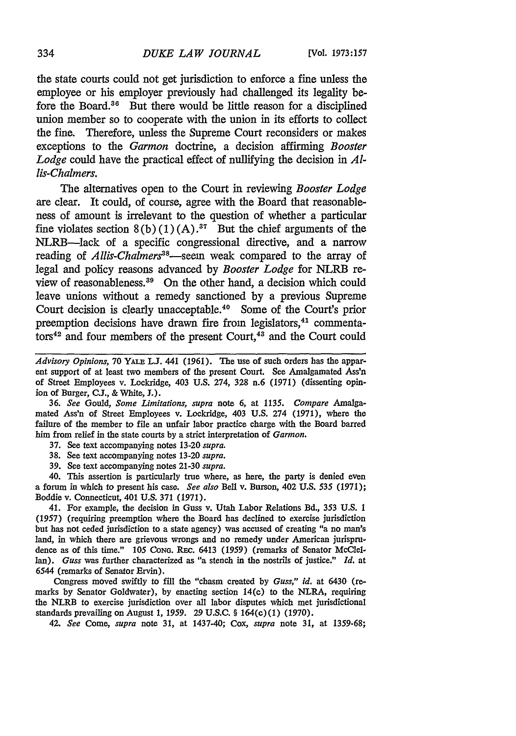the state courts could not get jurisdiction to enforce a fine unless the employee or his employer previously had challenged its legality before the Board.36 But there would be little reason for a disciplined union member so to cooperate with the union in its efforts to collect the fine. Therefore, unless the Supreme Court reconsiders or makes exceptions to the *Garmon* doctrine, a decision affirming *Booster Lodge* could have the practical effect of nullifying the decision in *Allis-Chalmers.*

The alternatives open to the Court in reviewing *Booster Lodge* are clear. It could, of course, agree with the Board that reasonableness of amount is irrelevant to the question of whether a particular fine violates section  $8(b)(1)(A)$ .<sup>37</sup> But the chief arguments of the NLRB-lack of a specific congressional directive, and a narrow reading of *Allis-Chalmers*<sup>38</sup>—seem weak compared to the array of legal and policy reasons advanced by *Booster Lodge* for NLRB review of reasonableness. 39 On the other hand, a decision which could leave unions without a remedy sanctioned by a previous Supreme Court decision is clearly unacceptable.<sup>40</sup> Some of the Court's prior preemption decisions have drawn fire from legislators,<sup>41</sup> commentators<sup>42</sup> and four members of the present Court,<sup>43</sup> and the Court could

36. *See* Gould, *Some Limitations, supra* note **6,** at 1135. *Compare* Axnalgamated Ass'n of Street Employees v. Lockridge, 403 U.S. 274 (1971), where the failure of the member to file an unfair labor practice charge with the Board barred him from relief in the state courts by a strict interpretation of *Garmon.*

- 37. See text accompanying notes 13-20 *supra.*
- 38. See text accompanying notes 13-20 *supra.*
- 39. See text accompanying notes 21-30 *supra.*

40. This assertion is particularly true where, as here, the party is denied even a forum in which to present his case. *See also* Bell **v.** Burson, 402 U.S. *535* (1971); Boddie v. Connecticut, 401 U.S. 371 (1971).

41. For example, the decision in Guss v. Utah Labor Relations Bd., 353 U.S. 1 (1957) (requiring preemption where the Board has declined to exercise jurisdiction but has not ceded jurisdiction to a state agency) was accused of creating "a no man's land, in which there are grievous wrongs and no remedy under American jurisprudence as of this time." 105 Cong. REC. 6413 (1959) (remarks of Senator McClellan). *Guss* was further characterized as "a stench in the nostrils of justice." *Id.* at 6544 (remarks of Senator Ervin).

Congress moved swiftly to fill the "chasm created by *Guss," id.* at 6430 (remarks by Senator Goldwater), by enacting section 14(c) to the NLRA, requiring the NLRB to exercise jurisdiction over all labor disputes which met jurisdictional standards prevailing on August 1, *1959.* 29 U.S.C. § 164(c)(1) (1970).

42. *See* Come, *supra* note 31, at 1437-40; Cox, *supra* note **31,** at 1359-68;

*Advisory Opinions,* **70 YALE L.J.** 441 (1961). The use of such orders has the apparent support of at least two members of the present Court. See Amalgamated Ass'n of Street Employees v. Lockridge, 403 U.S. 274, 328 n.6 (1971) (dissenting opinion of Burger, **C.J., &** White, *3.).*